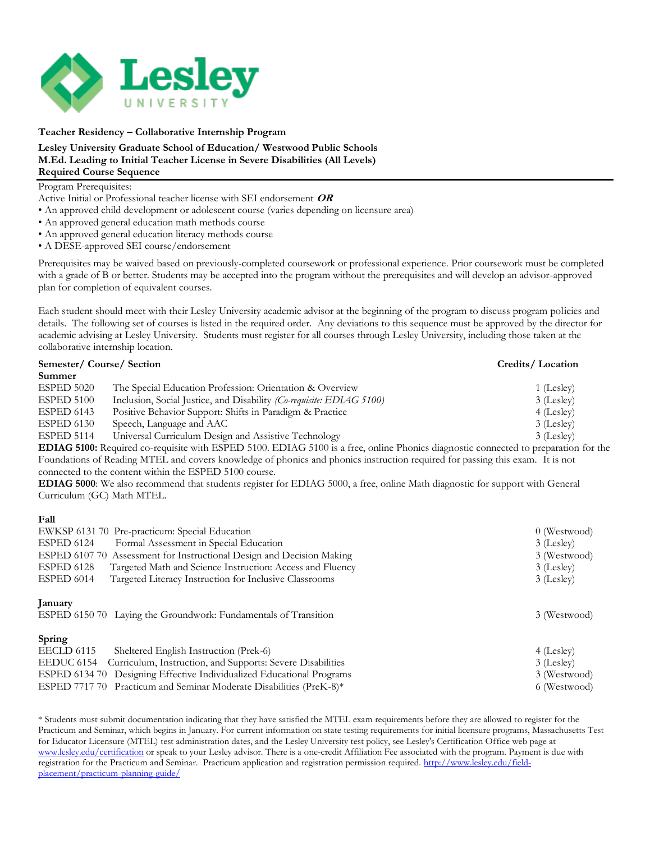

**Teacher Residency – Collaborative Internship Program**

## **Lesley University Graduate School of Education/ Westwood Public Schools M.Ed. Leading to Initial Teacher License in Severe Disabilities (All Levels) Required Course Sequence**

## Program Prerequisites:

Active Initial or Professional teacher license with SEI endorsement **OR** 

- An approved child development or adolescent course (varies depending on licensure area)
- An approved general education math methods course
- An approved general education literacy methods course
- A DESE-approved SEI course/endorsement

Prerequisites may be waived based on previously-completed coursework or professional experience*.* Prior coursework must be completed with a grade of B or better. Students may be accepted into the program without the prerequisites and will develop an advisor-approved plan for completion of equivalent courses.

Each student should meet with their Lesley University academic advisor at the beginning of the program to discuss program policies and details. The following set of courses is listed in the required order. Any deviations to this sequence must be approved by the director for academic advising at Lesley University. Students must register for all courses through Lesley University, including those taken at the collaborative internship location.

| Semester/Course/Section |                                                                      | Credits/Location |
|-------------------------|----------------------------------------------------------------------|------------------|
| Summer                  |                                                                      |                  |
| ESPED 5020              | The Special Education Profession: Orientation & Overview             | 1 (Lesley)       |
| ESPED 5100              | Inclusion, Social Justice, and Disability (Co-requisite: EDIAG 5100) | 3 (Lesley)       |
| ESPED 6143              | Positive Behavior Support: Shifts in Paradigm & Practice             | 4 (Lesley)       |
| ESPED 6130              | Speech, Language and AAC                                             | 3 (Lesley)       |
| ESPED 5114              | Universal Curriculum Design and Assistive Technology                 | 3 (Lesley)       |
|                         |                                                                      |                  |

**EDIAG 5100:** Required co-requisite with ESPED 5100. EDIAG 5100 is a free, online Phonics diagnostic connected to preparation for the Foundations of Reading MTEL and covers knowledge of phonics and phonics instruction required for passing this exam. It is not connected to the content within the ESPED 5100 course.

**EDIAG 5000**: We also recommend that students register for EDIAG 5000, a free, online Math diagnostic for support with General Curriculum (GC) Math MTEL.

## **Fall**

| EWKSP 6131 70 Pre-practicum: Special Education                             | 0 (Westwood) |
|----------------------------------------------------------------------------|--------------|
| Formal Assessment in Special Education<br>ESPED 6124                       | 3 (Lesley)   |
| ESPED 6107 70 Assessment for Instructional Design and Decision Making      | 3 (Westwood) |
| ESPED 6128<br>Targeted Math and Science Instruction: Access and Fluency    | 3 (Lesley)   |
| ESPED 6014<br>Targeted Literacy Instruction for Inclusive Classrooms       | 3 (Lesley)   |
| January<br>ESPED 6150 70 Laying the Groundwork: Fundamentals of Transition | 3 (Westwood) |
| Spring                                                                     |              |
| EECLD 6115<br>Sheltered English Instruction (Prek-6)                       | 4 (Lesley)   |
| Curriculum, Instruction, and Supports: Severe Disabilities<br>EEDUC 6154   | 3 (Lesley)   |
| ESPED 6134 70 Designing Effective Individualized Educational Programs      | 3 (Westwood) |
| ESPED 7717 70 Practicum and Seminar Moderate Disabilities (PreK-8)*        | 6 (Westwood) |

\* Students must submit documentation indicating that they have satisfied the MTEL exam requirements before they are allowed to register for the Practicum and Seminar, which begins in January. For current information on state testing requirements for initial licensure programs, Massachusetts Test for Educator Licensure (MTEL) test administration dates, and the Lesley University test policy, see Lesley's Certification Office web page at [www.lesley.edu/certification](http://www.lesley.edu/certification) or speak to your Lesley advisor. There is a one-credit Affiliation Fee associated with the program. Payment is due with registration for the Practicum and Seminar. Practicum application and registration permission required. [http://www.lesley.edu/field](http://www.lesley.edu/field-placement/practicum-planning-guide/)[placement/practicum-planning-guide/](http://www.lesley.edu/field-placement/practicum-planning-guide/)